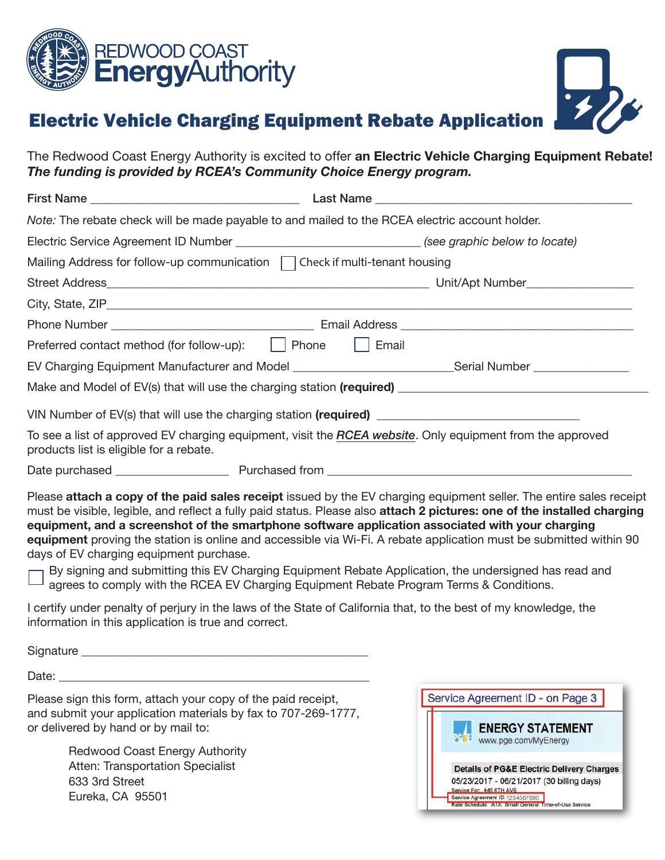



## Electric Vehicle Charging Equipment Rebate Application

The Redwood Coast Energy Authority is excited to offer an Electric Vehicle Charging Equipment Rebate! The funding is provided by RCEA's Community Choice Energy program.

| Note: The rebate check will be made payable to and mailed to the RCEA electric account holder.             |  |                                                                                                           |
|------------------------------------------------------------------------------------------------------------|--|-----------------------------------------------------------------------------------------------------------|
| Electric Service Agreement ID Number _________________________________ (see graphic below to locate)       |  |                                                                                                           |
| Mailing Address for follow-up communication   Check if multi-tenant housing                                |  |                                                                                                           |
|                                                                                                            |  |                                                                                                           |
|                                                                                                            |  |                                                                                                           |
|                                                                                                            |  |                                                                                                           |
| Preferred contact method (for follow-up):   Phone   Email                                                  |  |                                                                                                           |
| EV Charging Equipment Manufacturer and Model _________________________________Serial Number ______________ |  |                                                                                                           |
|                                                                                                            |  | Make and Model of EV(s) that will use the charging station (required) ______________________________      |
|                                                                                                            |  | VIN Number of EV(s) that will use the charging station (required) __________________________________      |
| products list is eligible for a rebate.                                                                    |  | To see a list of approved EV charging equipment, visit the RCEA website. Only equipment from the approved |
|                                                                                                            |  |                                                                                                           |

Please attach a copy of the paid sales receipt issued by the EV charging equipment seller. The entire sales receipt must be visible, legible, and reflect a fully paid status. Please also attach 2 pictures: one of the installed charging equipment, and a screenshot of the smartphone software application associated with your charging equipment proving the station is online and accessible via Wi-Fi. A rebate application must be submitted within 90 days of EV charging equipment purchase.

By signing and submitting this EV Charging Equipment Rebate Application, the undersigned has read and agrees to comply with the RCEA EV Charging Equipment Rebate Program Terms & Conditions.

I certify under penalty of perjury in the laws of the State of California that, to the best of my knowledge, the information in this application is true and correct.

Signature **Example 20** 

Date:

Please sign this form, attach your copy of the paid receipt, and submit your application materials by fax to 707-269-1777, or delivered by hand or by mail to:

> Redwood Coast Energy Authority Atten: Transportation Specialist 633 3rd Street Eureka, CA 95501

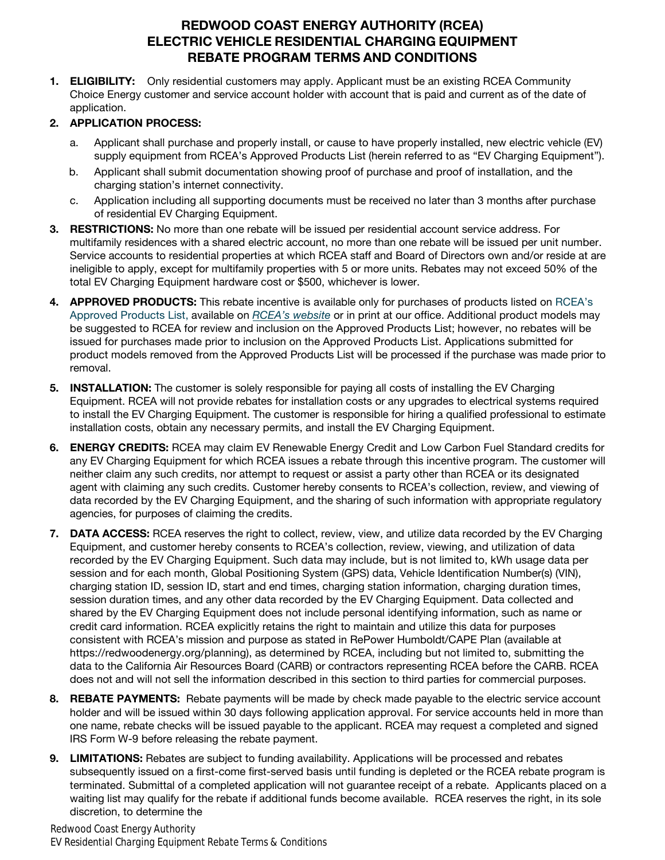## REDWOOD COAST ENERGY AUTHORITY (RCEA) ELECTRIC VEHICLE RESIDENTIAL CHARGING EQUIPMENT REBATE PROGRAM TERMS AND CONDITIONS

1. **ELIGIBILITY:** Only residential customers may apply. Applicant must be an existing RCEA Community Choice Energy customer and service account holder with account that is paid and current as of the date of application.

## 2. APPLICATION PROCESS:

- a. Applicant shall purchase and properly install, or cause to have properly installed, new electric vehicle (EV) supply equipment from RCEA's Approved Products List (herein referred to as "EV Charging Equipment").
- b. Applicant shall submit documentation showing proof of purchase and proof of installation, and the charging station's internet connectivity.
- c. Application including all supporting documents must be received no later than 3 months after purchase of residential EV Charging Equipment.
- 3. RESTRICTIONS: No more than one rebate will be issued per residential account service address. For multifamily residences with a shared electric account, no more than one rebate will be issued per unit number. Service accounts to residential properties at which RCEA staff and Board of Directors own and/or reside at are ineligible to apply, except for multifamily properties with 5 or more units. Rebates may not exceed 50% of the total EV Charging Equipment hardware cost or \$500, whichever is lower.
- 4. APPROVED PRODUCTS: This rebate incentive is available only for purchases of products listed on RCEA's Approved Products List, available on RCEA's website or in print at our office. Additional product models may be suggested to RCEA for review and inclusion on the Approved Products List; however, no rebates will be issued for purchases made prior to inclusion on the Approved Products List. Applications submitted for product models removed from the Approved Products List will be processed if the purchase was made prior to removal.
- 5. **INSTALLATION:** The customer is solely responsible for paying all costs of installing the EV Charging Equipment. RCEA will not provide rebates for installation costs or any upgrades to electrical systems required to install the EV Charging Equipment. The customer is responsible for hiring a qualified professional to estimate installation costs, obtain any necessary permits, and install the EV Charging Equipment.
- 6. ENERGY CREDITS: RCEA may claim EV Renewable Energy Credit and Low Carbon Fuel Standard credits for any EV Charging Equipment for which RCEA issues a rebate through this incentive program. The customer will neither claim any such credits, nor attempt to request or assist a party other than RCEA or its designated agent with claiming any such credits. Customer hereby consents to RCEA's collection, review, and viewing of data recorded by the EV Charging Equipment, and the sharing of such information with appropriate regulatory agencies, for purposes of claiming the credits.
- 7. DATA ACCESS: RCEA reserves the right to collect, review, view, and utilize data recorded by the EV Charging Equipment, and customer hereby consents to RCEA's collection, review, viewing, and utilization of data recorded by the EV Charging Equipment. Such data may include, but is not limited to, kWh usage data per session and for each month, Global Positioning System (GPS) data, Vehicle Identification Number(s) (VIN), charging station ID, session ID, start and end times, charging station information, charging duration times, session duration times, and any other data recorded by the EV Charging Equipment. Data collected and shared by the EV Charging Equipment does not include personal identifying information, such as name or credit card information. RCEA explicitly retains the right to maintain and utilize this data for purposes consistent with RCEA's mission and purpose as stated in RePower Humboldt/CAPE Plan (available at https://redwoodenergy.org/planning), as determined by RCEA, including but not limited to, submitting the data to the California Air Resources Board (CARB) or contractors representing RCEA before the CARB. RCEA does not and will not sell the information described in this section to third parties for commercial purposes.
- 8. REBATE PAYMENTS: Rebate payments will be made by check made payable to the electric service account holder and will be issued within 30 days following application approval. For service accounts held in more than one name, rebate checks will be issued payable to the applicant. RCEA may request a completed and signed IRS Form W-9 before releasing the rebate payment.
- 9. LIMITATIONS: Rebates are subject to funding availability. Applications will be processed and rebates subsequently issued on a first-come first-served basis until funding is depleted or the RCEA rebate program is terminated. Submittal of a completed application will not guarantee receipt of a rebate. Applicants placed on a waiting list may qualify for the rebate if additional funds become available. RCEA reserves the right, in its sole discretion, to determine the